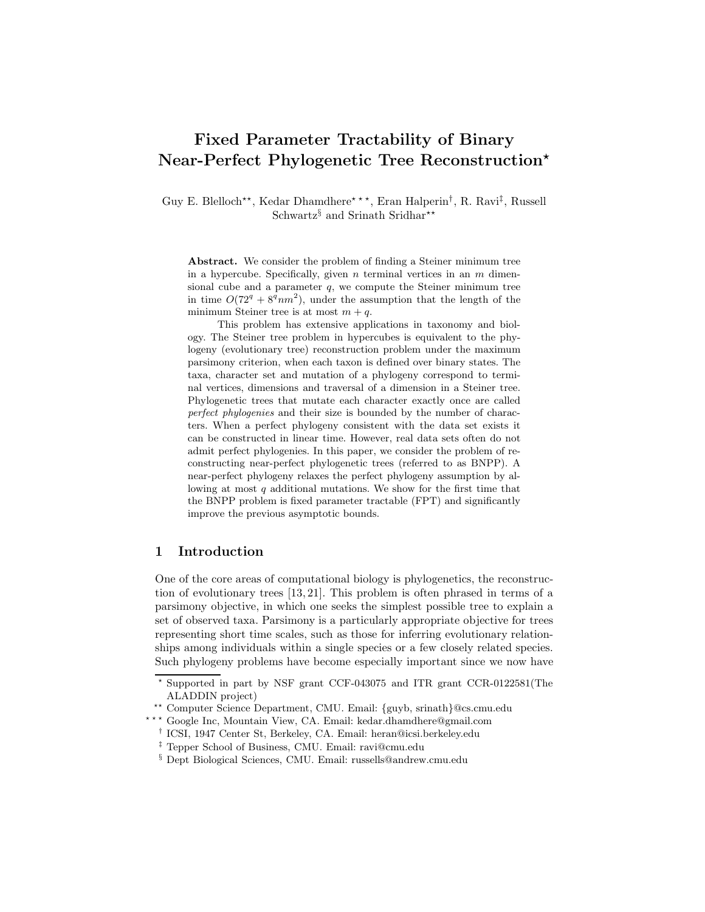# Fixed Parameter Tractability of Binary Near-Perfect Phylogenetic Tree Reconstruction<sup>\*</sup>

Guy E. Blelloch<sup>\*\*</sup>, Kedar Dhamdhere<sup>\*\*\*</sup>, Eran Halperin<sup>†</sup>, R. Ravi<sup>‡</sup>, Russell Schwartz<sup>§</sup> and Srinath Sridhar<sup>\*\*</sup>

Abstract. We consider the problem of finding a Steiner minimum tree in a hypercube. Specifically, given  $n$  terminal vertices in an  $m$  dimensional cube and a parameter  $q$ , we compute the Steiner minimum tree in time  $O(72^q + 8^q nm^2)$ , under the assumption that the length of the minimum Steiner tree is at most  $m + q$ .

This problem has extensive applications in taxonomy and biology. The Steiner tree problem in hypercubes is equivalent to the phylogeny (evolutionary tree) reconstruction problem under the maximum parsimony criterion, when each taxon is defined over binary states. The taxa, character set and mutation of a phylogeny correspond to terminal vertices, dimensions and traversal of a dimension in a Steiner tree. Phylogenetic trees that mutate each character exactly once are called perfect phylogenies and their size is bounded by the number of characters. When a perfect phylogeny consistent with the data set exists it can be constructed in linear time. However, real data sets often do not admit perfect phylogenies. In this paper, we consider the problem of reconstructing near-perfect phylogenetic trees (referred to as BNPP). A near-perfect phylogeny relaxes the perfect phylogeny assumption by allowing at most  $q$  additional mutations. We show for the first time that the BNPP problem is fixed parameter tractable (FPT) and significantly improve the previous asymptotic bounds.

# 1 Introduction

One of the core areas of computational biology is phylogenetics, the reconstruction of evolutionary trees [13, 21]. This problem is often phrased in terms of a parsimony objective, in which one seeks the simplest possible tree to explain a set of observed taxa. Parsimony is a particularly appropriate objective for trees representing short time scales, such as those for inferring evolutionary relationships among individuals within a single species or a few closely related species. Such phylogeny problems have become especially important since we now have

<sup>?</sup> Supported in part by NSF grant CCF-043075 and ITR grant CCR-0122581(The ALADDIN project)

<sup>\*\*</sup> Computer Science Department, CMU. Email: {guyb, srinath}@cs.cmu.edu

<sup>? ? ?</sup> Google Inc, Mountain View, CA. Email: kedar.dhamdhere@gmail.com

<sup>†</sup> ICSI, 1947 Center St, Berkeley, CA. Email: heran@icsi.berkeley.edu

<sup>‡</sup> Tepper School of Business, CMU. Email: ravi@cmu.edu

<sup>§</sup> Dept Biological Sciences, CMU. Email: russells@andrew.cmu.edu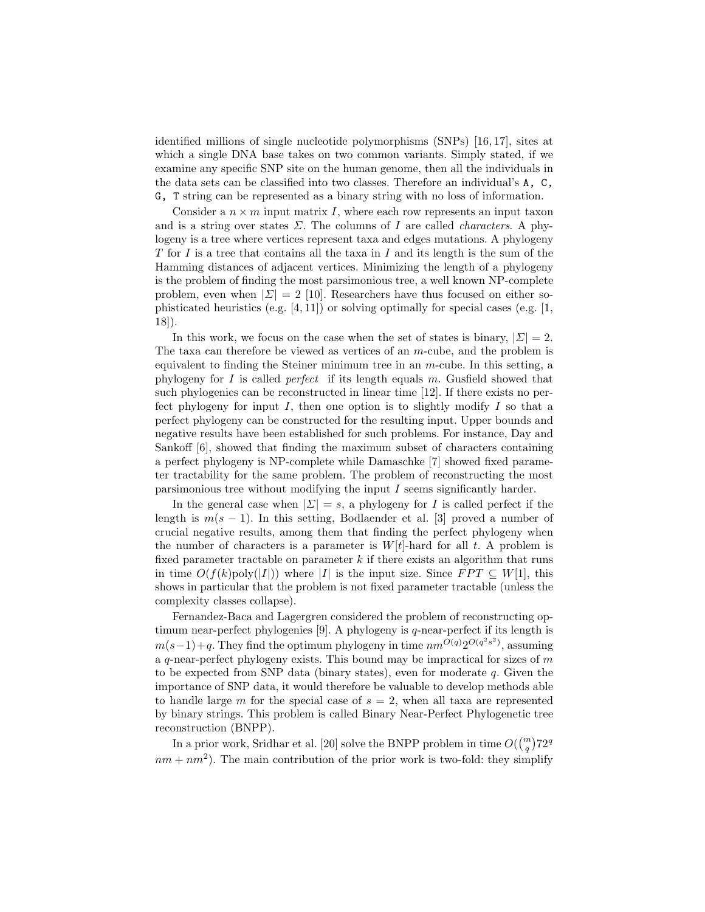identified millions of single nucleotide polymorphisms (SNPs) [16, 17], sites at which a single DNA base takes on two common variants. Simply stated, if we examine any specific SNP site on the human genome, then all the individuals in the data sets can be classified into two classes. Therefore an individual's A, C, G, T string can be represented as a binary string with no loss of information.

Consider a  $n \times m$  input matrix I, where each row represents an input taxon and is a string over states  $\Sigma$ . The columns of I are called *characters*. A phylogeny is a tree where vertices represent taxa and edges mutations. A phylogeny T for I is a tree that contains all the taxa in I and its length is the sum of the Hamming distances of adjacent vertices. Minimizing the length of a phylogeny is the problem of finding the most parsimonious tree, a well known NP-complete problem, even when  $|\Sigma| = 2$  [10]. Researchers have thus focused on either sophisticated heuristics (e.g. [4, 11]) or solving optimally for special cases (e.g. [1, 18]).

In this work, we focus on the case when the set of states is binary,  $|\Sigma| = 2$ . The taxa can therefore be viewed as vertices of an m-cube, and the problem is equivalent to finding the Steiner minimum tree in an m-cube. In this setting, a phylogeny for  $I$  is called *perfect* if its length equals  $m$ . Gusfield showed that such phylogenies can be reconstructed in linear time [12]. If there exists no perfect phylogeny for input I, then one option is to slightly modify I so that a perfect phylogeny can be constructed for the resulting input. Upper bounds and negative results have been established for such problems. For instance, Day and Sankoff [6], showed that finding the maximum subset of characters containing a perfect phylogeny is NP-complete while Damaschke [7] showed fixed parameter tractability for the same problem. The problem of reconstructing the most parsimonious tree without modifying the input  $I$  seems significantly harder.

In the general case when  $|\Sigma| = s$ , a phylogeny for I is called perfect if the length is  $m(s - 1)$ . In this setting, Bodlaender et al. [3] proved a number of crucial negative results, among them that finding the perfect phylogeny when the number of characters is a parameter is  $W[t]$ -hard for all t. A problem is fixed parameter tractable on parameter  $k$  if there exists an algorithm that runs in time  $O(f(k)poly(|I|))$  where |I| is the input size. Since  $FPT \subseteq W[1]$ , this shows in particular that the problem is not fixed parameter tractable (unless the complexity classes collapse).

Fernandez-Baca and Lagergren considered the problem of reconstructing optimum near-perfect phylogenies  $[9]$ . A phylogeny is q-near-perfect if its length is  $m(s-1)+q$ . They find the optimum phylogeny in time  $nm^{O(q)}2^{O(q^2s^2)}$ , assuming a  $q$ -near-perfect phylogeny exists. This bound may be impractical for sizes of  $m$ to be expected from SNP data (binary states), even for moderate  $q$ . Given the importance of SNP data, it would therefore be valuable to develop methods able to handle large m for the special case of  $s = 2$ , when all taxa are represented by binary strings. This problem is called Binary Near-Perfect Phylogenetic tree reconstruction (BNPP).

In a prior work, Sridhar et al. [20] solve the BNPP problem in time  $O({m \choose q}72^q)$  $nm + nm^2$ ). The main contribution of the prior work is two-fold: they simplify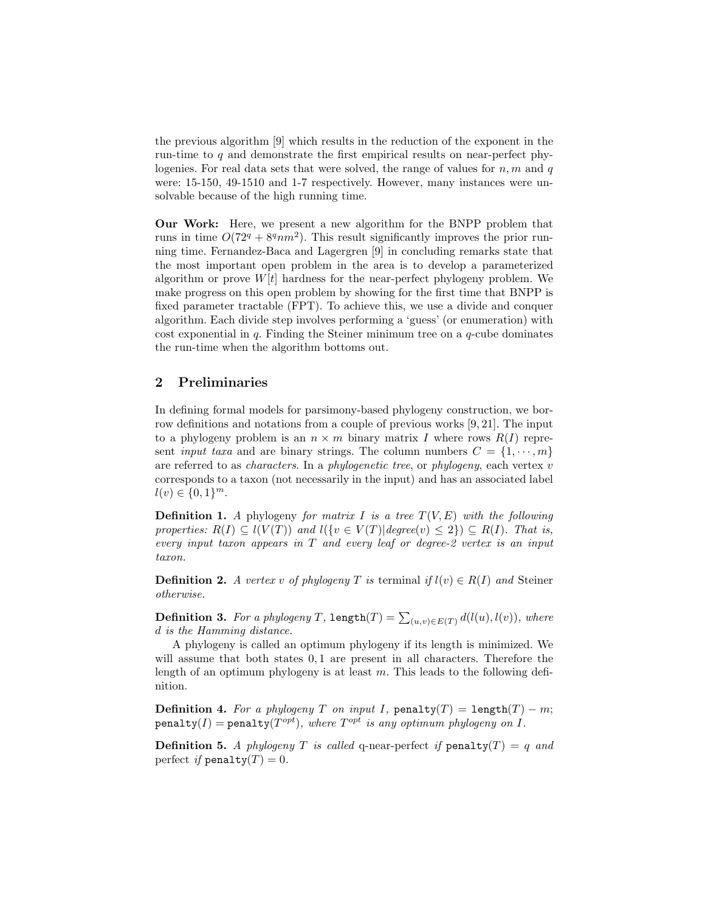the previous algorithm [9] which results in the reduction of the exponent in the run-time to  $q$  and demonstrate the first empirical results on near-perfect phylogenies. For real data sets that were solved, the range of values for  $n, m$  and q were: 15-150, 49-1510 and 1-7 respectively. However, many instances were unsolvable because of the high running time.

Our Work: Here, we present a new algorithm for the BNPP problem that runs in time  $O(72^q + 8^q nm^2)$ . This result significantly improves the prior running time. Fernandez-Baca and Lagergren [9] in concluding remarks state that the most important open problem in the area is to develop a parameterized algorithm or prove  $W[t]$  hardness for the near-perfect phylogeny problem. We make progress on this open problem by showing for the first time that BNPP is fixed parameter tractable (FPT). To achieve this, we use a divide and conquer algorithm. Each divide step involves performing a 'guess' (or enumeration) with cost exponential in  $q$ . Finding the Steiner minimum tree on a  $q$ -cube dominates the run-time when the algorithm bottoms out.

# 2 Preliminaries

In defining formal models for parsimony-based phylogeny construction, we borrow definitions and notations from a couple of previous works [9, 21]. The input to a phylogeny problem is an  $n \times m$  binary matrix I where rows  $R(I)$  represent *input taxa* and are binary strings. The column numbers  $C = \{1, \dots, m\}$ are referred to as *characters*. In a *phylogenetic tree*, or *phylogeny*, each vertex  $v$ corresponds to a taxon (not necessarily in the input) and has an associated label  $l(v) \in \{0,1\}^m$ .

**Definition 1.** A phylogeny for matrix I is a tree  $T(V, E)$  with the following properties:  $R(I) \subseteq l(V(T))$  and  $l({v \in V(T) | degree(v) \leq 2}) \subseteq R(I)$ . That is, every input taxon appears in T and every leaf or degree-2 vertex is an input taxon.

**Definition 2.** A vertex v of phylogeny T is terminal if  $l(v) \in R(I)$  and Steiner otherwise.

 $\textbf{Definition 3. }$  For a phylogeny  $T$ ,  $\texttt{length}(T) = \sum_{(u,v) \in E(T)} d(l(u), l(v)),$  where d is the Hamming distance.

A phylogeny is called an optimum phylogeny if its length is minimized. We will assume that both states 0, 1 are present in all characters. Therefore the length of an optimum phylogeny is at least  $m$ . This leads to the following definition.

Definition 4. For a phylogeny T on input I, penalty(T) = length(T) – m; penalty $(I)$  = penalty $(T^{opt})$ , where  $T^{opt}$  is any optimum phylogeny on  $I$ .

**Definition 5.** A phylogeny T is called q-near-perfect if penalty(T) = q and perfect if  $\text{penalty}(T) = 0$ .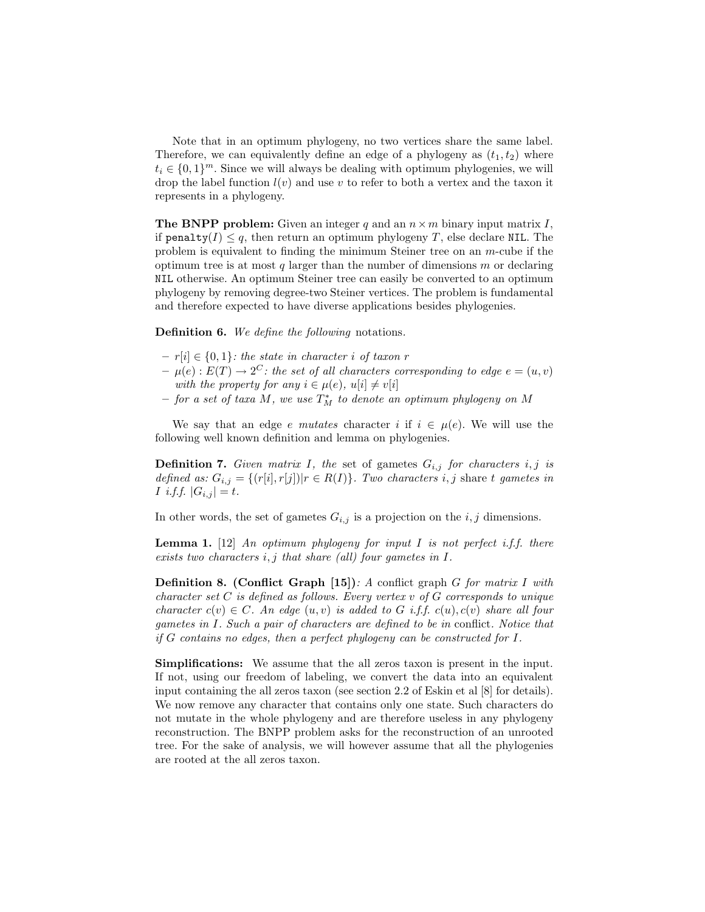Note that in an optimum phylogeny, no two vertices share the same label. Therefore, we can equivalently define an edge of a phylogeny as  $(t_1, t_2)$  where  $t_i \in \{0,1\}^m$ . Since we will always be dealing with optimum phylogenies, we will drop the label function  $l(v)$  and use v to refer to both a vertex and the taxon it represents in a phylogeny.

**The BNPP problem:** Given an integer q and an  $n \times m$  binary input matrix I, if penalty( $I \leq q$ , then return an optimum phylogeny T, else declare NIL. The problem is equivalent to finding the minimum Steiner tree on an m-cube if the optimum tree is at most  $q$  larger than the number of dimensions  $m$  or declaring NIL otherwise. An optimum Steiner tree can easily be converted to an optimum phylogeny by removing degree-two Steiner vertices. The problem is fundamental and therefore expected to have diverse applications besides phylogenies.

Definition 6. We define the following notations.

- $r[i] \in \{0, 1\}$ : the state in character i of taxon r
- $\mu(e): E(T) \to 2^C$ : the set of all characters corresponding to edge  $e = (u, v)$ with the property for any  $i \in \mu(e)$ ,  $u[i] \neq v[i]$
- $-$  for a set of taxa M, we use  $T_M^*$  to denote an optimum phylogeny on M

We say that an edge e mutates character i if  $i \in \mu(e)$ . We will use the following well known definition and lemma on phylogenies.

**Definition 7.** Given matrix I, the set of gametes  $G_{i,j}$  for characters i, j is defined as:  $G_{i,j} = \{(r[i], r[j]) | r \in R(I)\}$ . Two characters i, j share t gametes in *I* i.f.f.  $|G_{i,j}| = t$ .

In other words, the set of gametes  $G_{i,j}$  is a projection on the  $i, j$  dimensions.

**Lemma 1.** [12] An optimum phylogeny for input  $I$  is not perfect i.f.f. there exists two characters  $i, j$  that share (all) four gametes in  $I$ .

**Definition 8.** (Conflict Graph  $[15]$ ): A conflict graph G for matrix I with character set C is defined as follows. Every vertex  $v$  of G corresponds to unique character  $c(v) \in C$ . An edge  $(u, v)$  is added to G i.f.f.  $c(u)$ ,  $c(v)$  share all four gametes in I. Such a pair of characters are defined to be in conflict. Notice that if G contains no edges, then a perfect phylogeny can be constructed for I.

Simplifications: We assume that the all zeros taxon is present in the input. If not, using our freedom of labeling, we convert the data into an equivalent input containing the all zeros taxon (see section 2.2 of Eskin et al [8] for details). We now remove any character that contains only one state. Such characters do not mutate in the whole phylogeny and are therefore useless in any phylogeny reconstruction. The BNPP problem asks for the reconstruction of an unrooted tree. For the sake of analysis, we will however assume that all the phylogenies are rooted at the all zeros taxon.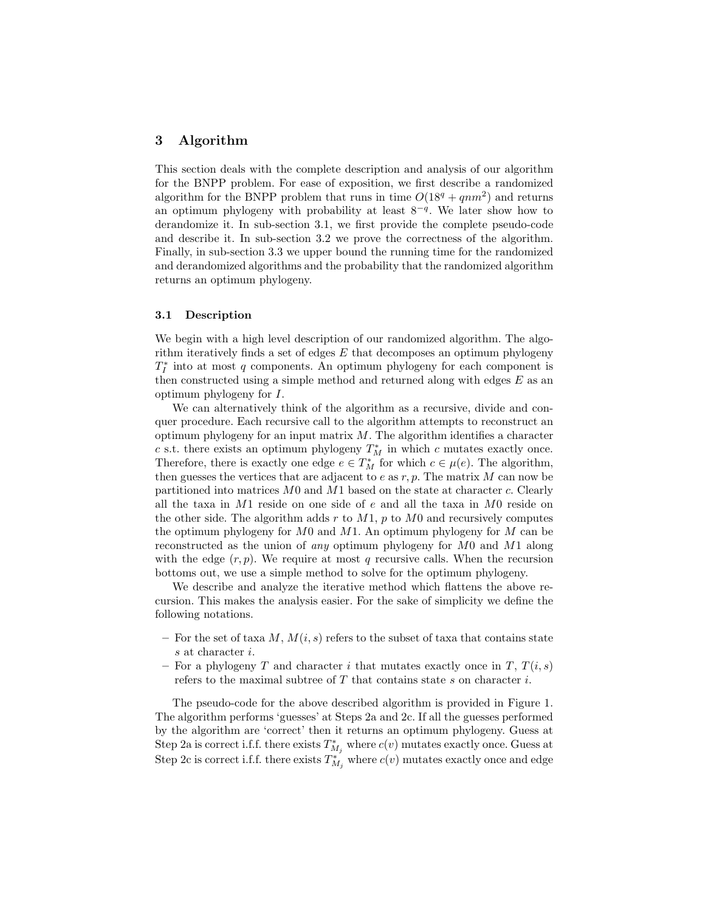### 3 Algorithm

This section deals with the complete description and analysis of our algorithm for the BNPP problem. For ease of exposition, we first describe a randomized algorithm for the BNPP problem that runs in time  $O(18^q + qnm^2)$  and returns an optimum phylogeny with probability at least  $8^{-q}$ . We later show how to derandomize it. In sub-section 3.1, we first provide the complete pseudo-code and describe it. In sub-section 3.2 we prove the correctness of the algorithm. Finally, in sub-section 3.3 we upper bound the running time for the randomized and derandomized algorithms and the probability that the randomized algorithm returns an optimum phylogeny.

#### 3.1 Description

We begin with a high level description of our randomized algorithm. The algorithm iteratively finds a set of edges  $E$  that decomposes an optimum phylogeny  $T_I^*$  into at most q components. An optimum phylogeny for each component is then constructed using a simple method and returned along with edges  $E$  as an optimum phylogeny for I.

We can alternatively think of the algorithm as a recursive, divide and conquer procedure. Each recursive call to the algorithm attempts to reconstruct an optimum phylogeny for an input matrix  $M$ . The algorithm identifies a character c s.t. there exists an optimum phylogeny  $T_M^*$  in which c mutates exactly once. Therefore, there is exactly one edge  $e \in T_M^*$  for which  $c \in \mu(e)$ . The algorithm, then guesses the vertices that are adjacent to e as  $r, p$ . The matrix M can now be partitioned into matrices  $M0$  and  $M1$  based on the state at character  $c$ . Clearly all the taxa in  $M1$  reside on one side of e and all the taxa in  $M0$  reside on the other side. The algorithm adds  $r$  to  $M1$ ,  $p$  to  $M0$  and recursively computes the optimum phylogeny for  $M_0$  and  $M_1$ . An optimum phylogeny for M can be reconstructed as the union of any optimum phylogeny for M0 and M1 along with the edge  $(r, p)$ . We require at most q recursive calls. When the recursion bottoms out, we use a simple method to solve for the optimum phylogeny.

We describe and analyze the iterative method which flattens the above recursion. This makes the analysis easier. For the sake of simplicity we define the following notations.

- For the set of taxa M,  $M(i, s)$  refers to the subset of taxa that contains state s at character i.
- For a phylogeny T and character i that mutates exactly once in T,  $T(i,s)$ refers to the maximal subtree of  $T$  that contains state  $s$  on character  $i$ .

The pseudo-code for the above described algorithm is provided in Figure 1. The algorithm performs 'guesses' at Steps 2a and 2c. If all the guesses performed by the algorithm are 'correct' then it returns an optimum phylogeny. Guess at Step 2a is correct i.f.f. there exists  $T^*_{M_j}$  where  $c(v)$  mutates exactly once. Guess at Step 2c is correct i.f.f. there exists  $T^*_{M_j}$  where  $c(v)$  mutates exactly once and edge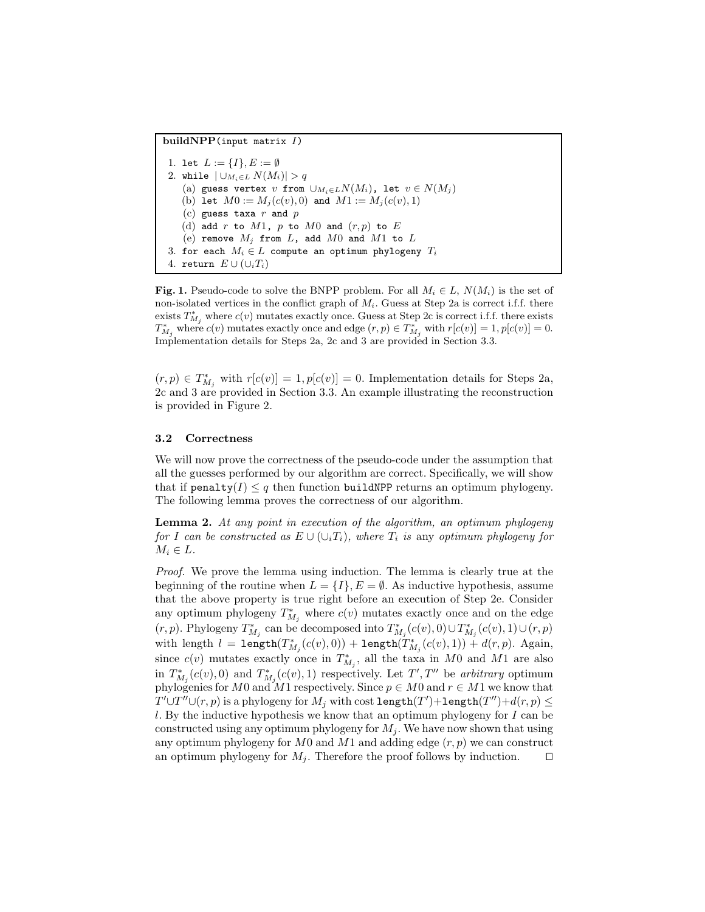buildNPP(input matrix I) 1. let  $L := \{I\}, E := \emptyset$ 2. while  $|\bigcup_{M_i\in L} N(M_i)| > q$ (a) guess vertex v from  $\cup_{M_i\in L}N(M_i)$ , let  $v\in N(M_j)$ (b) let  $M0 := M_j(c(v), 0)$  and  $M1 := M_j(c(v), 1)$ (c) guess taxa  $r$  and  $p$ (d) add  $r$  to  $M1$ ,  $p$  to  $M0$  and  $(r, p)$  to  $E$ (e) remove  $M_i$  from  $L$ , add  $M0$  and  $M1$  to  $L$ 3. for each  $M_i \in L$  compute an optimum phylogeny  $T_i$ 4. return  $E \cup (\cup_i T_i)$ 

Fig. 1. Pseudo-code to solve the BNPP problem. For all  $M_i \in L$ ,  $N(M_i)$  is the set of non-isolated vertices in the conflict graph of  $M_i$ . Guess at Step 2a is correct i.f.f. there exists  $T_{M_j}^*$  where  $c(v)$  mutates exactly once. Guess at Step 2c is correct i.f.f. there exists  $T^*_{M_j}$  where  $c(v)$  mutates exactly once and edge  $(r, p) \in T^*_{M_j}$  with  $r[c(v)] = 1, p[c(v)] = 0$ . Implementation details for Steps 2a, 2c and 3 are provided in Section 3.3.

 $(r, p) \in T^*_{M_j}$  with  $r[c(v)] = 1, p[c(v)] = 0$ . Implementation details for Steps 2a, 2c and 3 are provided in Section 3.3. An example illustrating the reconstruction is provided in Figure 2.

#### 3.2 Correctness

We will now prove the correctness of the pseudo-code under the assumption that all the guesses performed by our algorithm are correct. Specifically, we will show that if  $penalty(I) \leq q$  then function buildNPP returns an optimum phylogeny. The following lemma proves the correctness of our algorithm.

Lemma 2. At any point in execution of the algorithm, an optimum phylogeny for I can be constructed as  $E \cup (\cup_i T_i)$ , where  $T_i$  is any optimum phylogeny for  $M_i \in L$ .

Proof. We prove the lemma using induction. The lemma is clearly true at the beginning of the routine when  $L = \{I\}$ ,  $E = \emptyset$ . As inductive hypothesis, assume that the above property is true right before an execution of Step 2e. Consider any optimum phylogeny  $T_{M_j}^*$  where  $c(v)$  mutates exactly once and on the edge (r, p). Phylogeny  $T^*_{M_j}$  can be decomposed into  $T^*_{M_j}(c(v), 0) \cup T^*_{M_j}(c(v), 1) \cup (r, p)$ with length  $l = \texttt{length}(T^*_{M_j}(c(v), 0)) + \texttt{length}(T^*_{M_j}(c(v), 1)) + d(r, p)$ . Again, since  $c(v)$  mutates exactly once in  $T^*_{M_j}$ , all the taxa in M0 and M1 are also in  $T^*_{M_j}(c(v),0)$  and  $T^*_{M_j}(c(v),1)$  respectively. Let  $T',T''$  be arbitrary optimum phylogenies for M0 and M1 respectively. Since  $p \in M0$  and  $r \in M1$  we know that  $T' \cup T'' \cup (r, p)$  is a phylogeny for  $M_j$  with cost  $\mathtt{length}(T') + \mathtt{length}(T'') + d(r, p) \leq$  $l$ . By the inductive hypothesis we know that an optimum phylogeny for  $I$  can be constructed using any optimum phylogeny for  $M_i$ . We have now shown that using any optimum phylogeny for  $M0$  and  $M1$  and adding edge  $(r, p)$  we can construct an optimum phylogeny for  $M_i$ . Therefore the proof follows by induction.  $\square$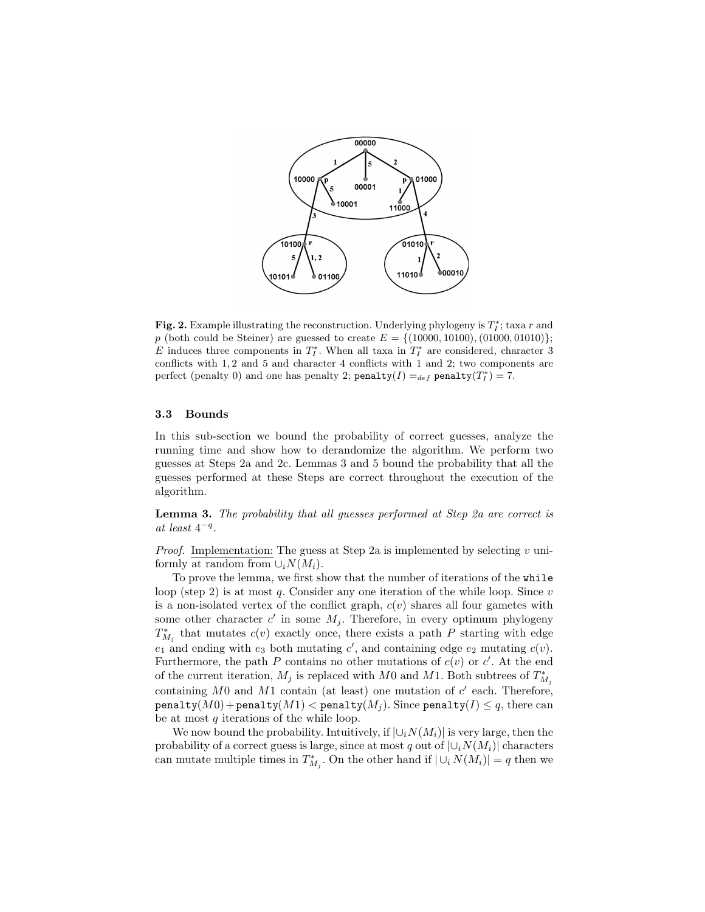

Fig. 2. Example illustrating the reconstruction. Underlying phylogeny is  $T_I^*$ ; taxa r and p (both could be Steiner) are guessed to create  $E = \{(10000, 10100), (01000, 01010)\}\;$ E induces three components in  $T_I^*$ . When all taxa in  $T_I^*$  are considered, character 3 conflicts with 1, 2 and 5 and character 4 conflicts with 1 and 2; two components are perfect (penalty 0) and one has penalty 2;  $\text{penalty}(I) =_{def} \text{penalty}(T_I^*) = 7$ .

#### 3.3 Bounds

In this sub-section we bound the probability of correct guesses, analyze the running time and show how to derandomize the algorithm. We perform two guesses at Steps 2a and 2c. Lemmas 3 and 5 bound the probability that all the guesses performed at these Steps are correct throughout the execution of the algorithm.

Lemma 3. The probability that all guesses performed at Step 2a are correct is at least  $4^{-q}$ .

*Proof.* Implementation: The guess at Step 2a is implemented by selecting v uniformly at random from  $\cup_i N(M_i)$ .

To prove the lemma, we first show that the number of iterations of the while loop (step 2) is at most q. Consider any one iteration of the while loop. Since  $v$ is a non-isolated vertex of the conflict graph,  $c(v)$  shares all four gametes with some other character  $c'$  in some  $M_j$ . Therefore, in every optimum phylogeny  $T^*_{M_j}$  that mutates  $c(v)$  exactly once, there exists a path P starting with edge  $e_1$  and ending with  $e_3$  both mutating  $c'$ , and containing edge  $e_2$  mutating  $c(v)$ . Furthermore, the path  $P$  contains no other mutations of  $c(v)$  or  $c'$ . At the end % of the current iteration,  $M_j$  is replaced with  $M0$  and  $M1$ . Both subtrees of  $T^*_{M_j}$ containing  $M0$  and  $M1$  contain (at least) one mutation of  $c'$  each. Therefore, penalty $(M0)$  + penalty $(M1)$  < penalty $(M<sub>i</sub>)$ . Since penalty $(I) \leq q$ , there can be at most  $q$  iterations of the while loop.

We now bound the probability. Intuitively, if  $|\bigcup_i N(M_i)|$  is very large, then the probability of a correct guess is large, since at most q out of  $|U_iN(M_i)|$  characters can mutate multiple times in  $T^*_{M_j}$ . On the other hand if  $|\bigcup_i N(M_i)| = q$  then we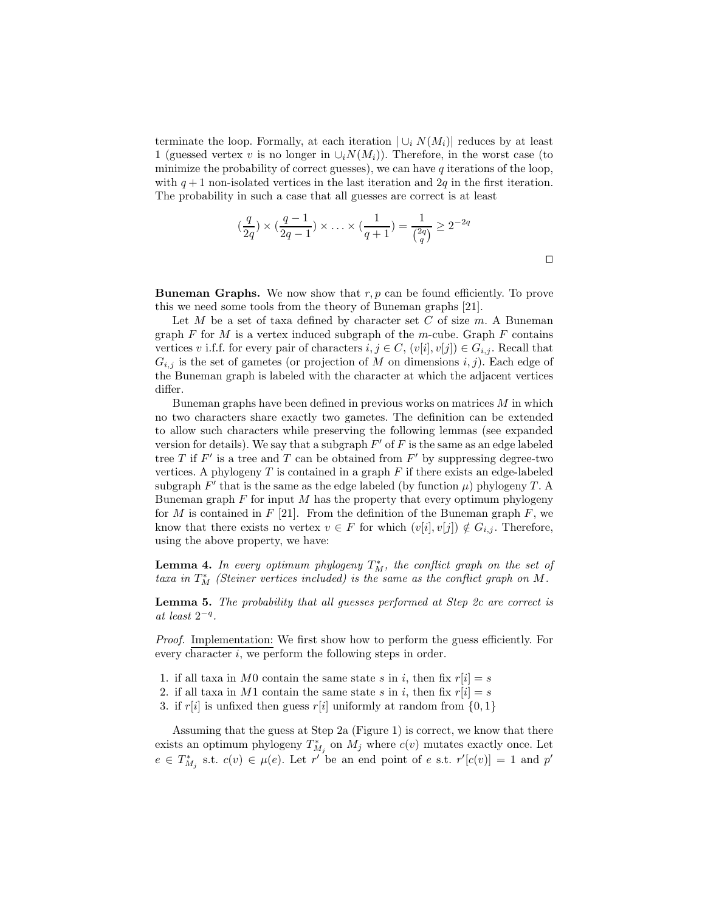terminate the loop. Formally, at each iteration  $\cup_i N(M_i)$  reduces by at least 1 (guessed vertex v is no longer in  $\cup_i N(M_i)$ ). Therefore, in the worst case (to minimize the probability of correct guesses), we can have  $q$  iterations of the loop, with  $q + 1$  non-isolated vertices in the last iteration and  $2q$  in the first iteration. The probability in such a case that all guesses are correct is at least

$$
(\frac{q}{2q}) \times (\frac{q-1}{2q-1}) \times ... \times (\frac{1}{q+1}) = \frac{1}{\binom{2q}{q}} \ge 2^{-2q}
$$

 $\Box$ 

**Buneman Graphs.** We now show that  $r, p$  can be found efficiently. To prove this we need some tools from the theory of Buneman graphs [21].

Let  $M$  be a set of taxa defined by character set  $C$  of size  $m$ . A Buneman graph  $F$  for  $M$  is a vertex induced subgraph of the  $m$ -cube. Graph  $F$  contains vertices v i.f.f. for every pair of characters  $i, j \in C$ ,  $(v[i], v[j]) \in G_{i,j}$ . Recall that  $G_{i,j}$  is the set of gametes (or projection of M on dimensions i, j). Each edge of the Buneman graph is labeled with the character at which the adjacent vertices differ.

Buneman graphs have been defined in previous works on matrices  $M$  in which no two characters share exactly two gametes. The definition can be extended to allow such characters while preserving the following lemmas (see expanded version for details). We say that a subgraph  $F'$  of  $F$  is the same as an edge labeled tree T if  $F'$  is a tree and T can be obtained from  $F'$  by suppressing degree-two vertices. A phylogeny  $T$  is contained in a graph  $F$  if there exists an edge-labeled subgraph  $F'$  that is the same as the edge labeled (by function  $\mu$ ) phylogeny T. A Buneman graph  $F$  for input  $M$  has the property that every optimum phylogeny for M is contained in  $F$  [21]. From the definition of the Buneman graph  $F$ , we know that there exists no vertex  $v \in F$  for which  $(v[i], v[j]) \notin G_{i,j}$ . Therefore, using the above property, we have:

**Lemma 4.** In every optimum phylogeny  $T_M^*$ , the conflict graph on the set of taxa in  $T_M^*$  (Steiner vertices included) is the same as the conflict graph on M.

Lemma 5. The probability that all guesses performed at Step 2c are correct is at least  $2^{-q}$ .

Proof. Implementation: We first show how to perform the guess efficiently. For every character  $i$ , we perform the following steps in order.

- 1. if all taxa in M0 contain the same state s in i, then fix  $r[i] = s$
- 2. if all taxa in M1 contain the same state s in i, then fix  $r[i] = s$
- 3. if  $r[i]$  is unfixed then guess  $r[i]$  uniformly at random from  $\{0,1\}$

Assuming that the guess at Step 2a (Figure 1) is correct, we know that there exists an optimum phylogeny  $T_{M_j}^*$  on  $M_j$  where  $c(v)$  mutates exactly once. Let  $e \in T^*_{M_j}$  s.t.  $c(v) \in \mu(e)$ . Let  $r'$  be an end point of e s.t.  $r'[c(v)] = 1$  and  $p'$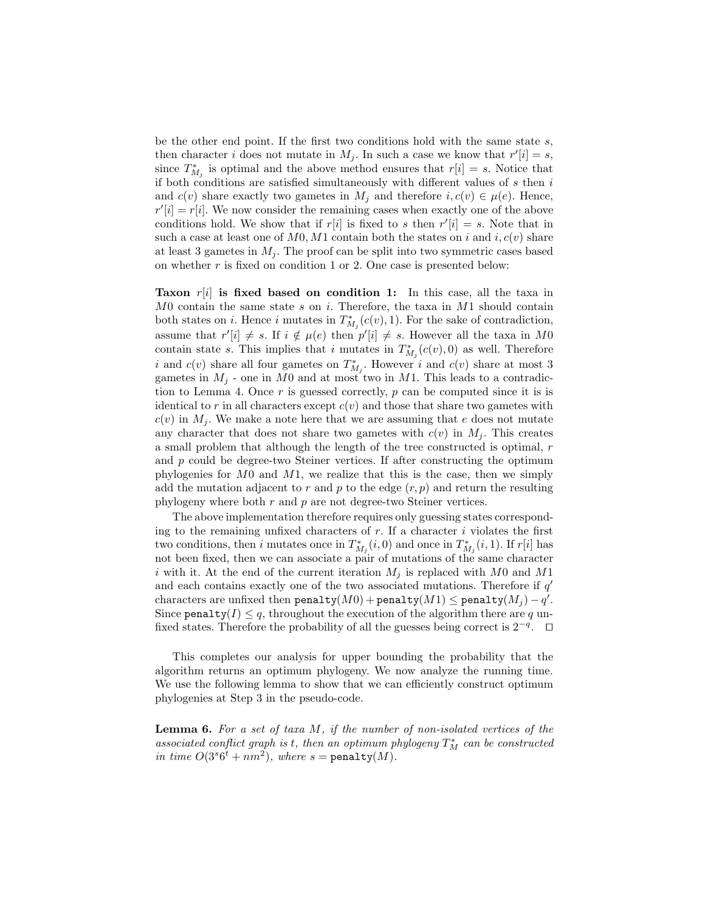be the other end point. If the first two conditions hold with the same state  $s$ , then character *i* does not mutate in  $M_j$ . In such a case we know that  $r'[i] = s$ , since  $T_{M_j}^*$  is optimal and the above method ensures that  $r[i] = s$ . Notice that if both conditions are satisfied simultaneously with different values of  $s$  then  $i$ and  $c(v)$  share exactly two gametes in  $M_i$  and therefore  $i, c(v) \in \mu(e)$ . Hence,  $r'[i] = r[i]$ . We now consider the remaining cases when exactly one of the above conditions hold. We show that if  $r[i]$  is fixed to s then  $r'[i] = s$ . Note that in such a case at least one of  $M0, M1$  contain both the states on i and  $i, c(v)$  share at least 3 gametes in  $M_i$ . The proof can be split into two symmetric cases based on whether  $r$  is fixed on condition 1 or 2. One case is presented below:

Taxon  $r[i]$  is fixed based on condition 1: In this case, all the taxa in  $M0$  contain the same state s on i. Therefore, the taxa in  $M1$  should contain both states on *i*. Hence *i* mutates in  $T^*_{M_j}(c(v), 1)$ . For the sake of contradiction, assume that  $r'[i] \neq s$ . If  $i \notin \mu(e)$  then  $p'[i] \neq s$ . However all the taxa in M0 contain state s. This implies that i mutates in  $T^*_{M_j}(c(v),0)$  as well. Therefore *i* and  $c(v)$  share all four gametes on  $T^*_{M_j}$ . However *i* and  $c(v)$  share at most 3 gametes in  $M_j$  - one in M0 and at most two in M1. This leads to a contradiction to Lemma 4. Once  $r$  is guessed correctly,  $p$  can be computed since it is is identical to r in all characters except  $c(v)$  and those that share two gametes with  $c(v)$  in  $M_i$ . We make a note here that we are assuming that e does not mutate any character that does not share two gametes with  $c(v)$  in  $M_i$ . This creates a small problem that although the length of the tree constructed is optimal, r and  $p$  could be degree-two Steiner vertices. If after constructing the optimum phylogenies for  $M0$  and  $M1$ , we realize that this is the case, then we simply add the mutation adjacent to r and p to the edge  $(r, p)$  and return the resulting phylogeny where both  $r$  and  $p$  are not degree-two Steiner vertices.

The above implementation therefore requires only guessing states corresponding to the remaining unfixed characters of  $r$ . If a character  $i$  violates the first two conditions, then i mutates once in  $T^*_{M_j}(i,0)$  and once in  $T^*_{M_j}(i,1)$ . If  $r[i]$  has not been fixed, then we can associate a pair of mutations of the same character i with it. At the end of the current iteration  $M_j$  is replaced with  $M0$  and  $M1$ and each contains exactly one of the two associated mutations. Therefore if  $q'$ characters are unfixed then  $\texttt{penalty}(M0) + \texttt{penalty}(M1) \leq \texttt{penalty}(M_j) - q'.$ Since penalty $(I) \leq q$ , throughout the execution of the algorithm there are q unfixed states. Therefore the probability of all the guesses being correct is  $2^{-q}$ .  $\Box$ 

This completes our analysis for upper bounding the probability that the algorithm returns an optimum phylogeny. We now analyze the running time. We use the following lemma to show that we can efficiently construct optimum phylogenies at Step 3 in the pseudo-code.

**Lemma 6.** For a set of taxa  $M$ , if the number of non-isolated vertices of the associated conflict graph is t, then an optimum phylogeny  $T_M^*$  can be constructed in time  $O(3<sup>s</sup>6<sup>t</sup> + nm<sup>2</sup>)$ , where  $s =$  penalty(M).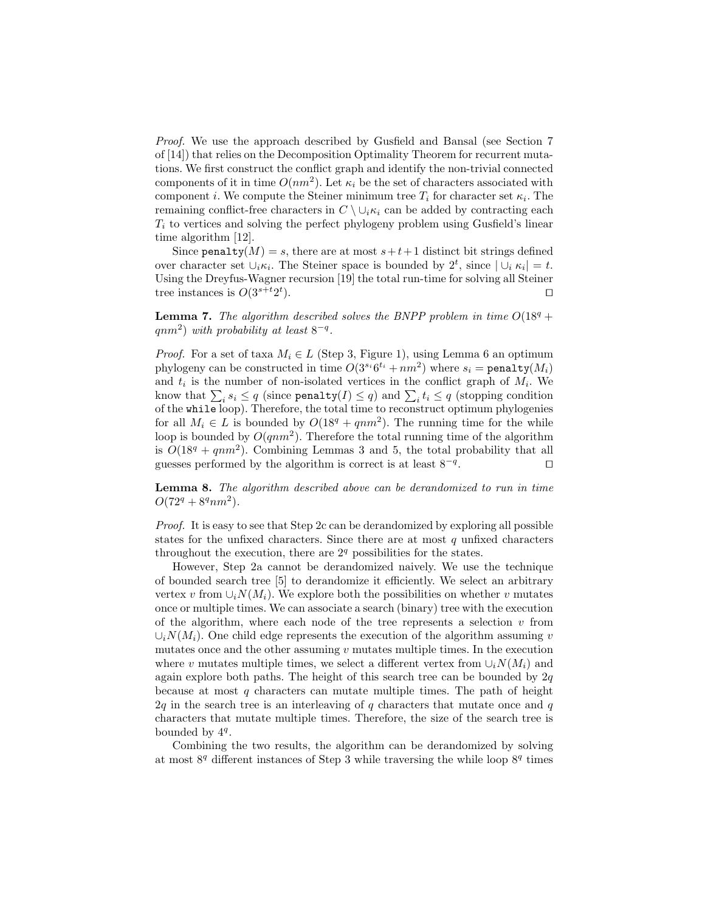Proof. We use the approach described by Gusfield and Bansal (see Section 7 of [14]) that relies on the Decomposition Optimality Theorem for recurrent mutations. We first construct the conflict graph and identify the non-trivial connected components of it in time  $O(nm^2)$ . Let  $\kappa_i$  be the set of characters associated with component *i*. We compute the Steiner minimum tree  $T_i$  for character set  $\kappa_i$ . The remaining conflict-free characters in  $C \setminus \cup_i \kappa_i$  can be added by contracting each  $T_i$  to vertices and solving the perfect phylogeny problem using Gusfield's linear time algorithm [12].

Since penalty $(M) = s$ , there are at most  $s + t + 1$  distinct bit strings defined over character set  $\cup_i \kappa_i$ . The Steiner space is bounded by  $2^t$ , since  $|\cup_i \kappa_i| = t$ . Using the Dreyfus-Wagner recursion [19] the total run-time for solving all Steiner tree instances is  $O(3^{s+t}2^t)$ ).  $\hskip10mm \square$ 

**Lemma 7.** The algorithm described solves the BNPP problem in time  $O(18q +$  $qnm^2$ ) with probability at least  $8^{-q}$ .

*Proof.* For a set of taxa  $M_i \in L$  (Step 3, Figure 1), using Lemma 6 an optimum phylogeny can be constructed in time  $O(3^{s_i}6^{t_i} + nm^2)$  where  $s_i = \texttt{penalty}(M_i)$ and  $t_i$  is the number of non-isolated vertices in the conflict graph of  $M_i$ . We know that  $\sum_i s_i \le q$  (since  $\texttt{penalty}(I) \le q$ ) and  $\sum_i t_i \le q$  (stopping condition of the while loop). Therefore, the total time to reconstruct optimum phylogenies for all  $M_i \in L$  is bounded by  $O(18^q + qnm^2)$ . The running time for the while loop is bounded by  $O(qnm^2)$ . Therefore the total running time of the algorithm is  $O(18<sup>q</sup> + qnm<sup>2</sup>)$ . Combining Lemmas 3 and 5, the total probability that all guesses performed by the algorithm is correct is at least  $8^{-q}$ . . The contract of  $\Box$ 

Lemma 8. The algorithm described above can be derandomized to run in time  $O(72^q + 8^q nm^2)$ .

Proof. It is easy to see that Step 2c can be derandomized by exploring all possible states for the unfixed characters. Since there are at most  $q$  unfixed characters throughout the execution, there are  $2<sup>q</sup>$  possibilities for the states.

However, Step 2a cannot be derandomized naively. We use the technique of bounded search tree [5] to derandomize it efficiently. We select an arbitrary vertex v from  $\cup_i N(M_i)$ . We explore both the possibilities on whether v mutates once or multiple times. We can associate a search (binary) tree with the execution of the algorithm, where each node of the tree represents a selection  $v$  from  $\cup_i N(M_i)$ . One child edge represents the execution of the algorithm assuming v mutates once and the other assuming  $v$  mutates multiple times. In the execution where v mutates multiple times, we select a different vertex from  $\cup_i N(M_i)$  and again explore both paths. The height of this search tree can be bounded by  $2q$ because at most  $q$  characters can mutate multiple times. The path of height  $2q$  in the search tree is an interleaving of q characters that mutate once and q characters that mutate multiple times. Therefore, the size of the search tree is bounded by  $4<sup>q</sup>$ .

Combining the two results, the algorithm can be derandomized by solving at most  $8<sup>q</sup>$  different instances of Step 3 while traversing the while loop  $8<sup>q</sup>$  times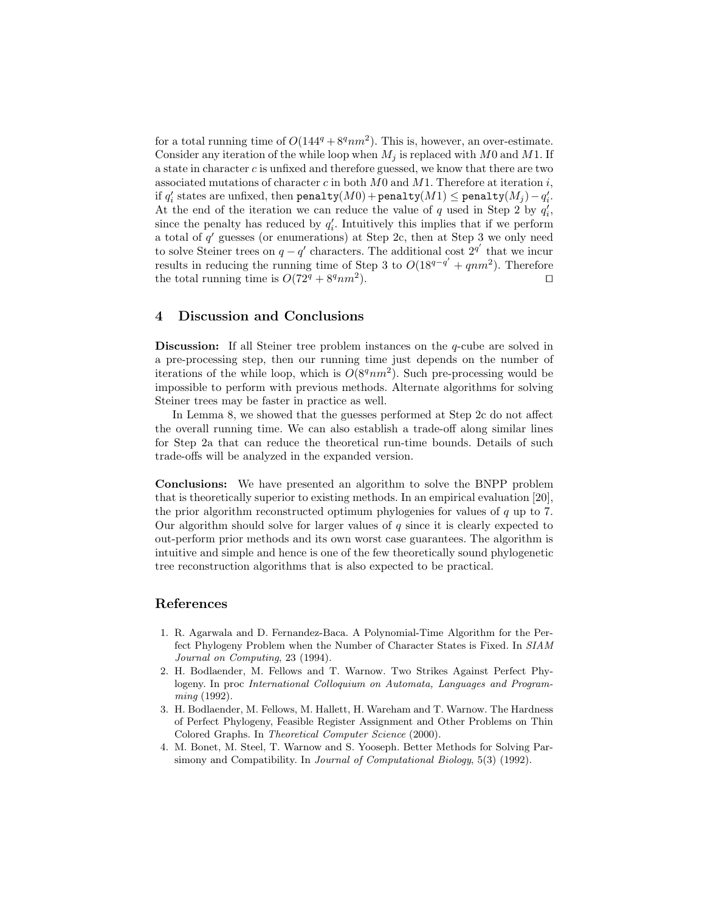for a total running time of  $O(144^q + 8^q nm^2)$ . This is, however, an over-estimate. Consider any iteration of the while loop when  $M_i$  is replaced with M0 and M1. If a state in character  $c$  is unfixed and therefore guessed, we know that there are two associated mutations of character  $c$  in both  $M0$  and  $M1$ . Therefore at iteration  $i$ , if  $q'_i$  states are unfixed, then  $\texttt{penalty}(M0) + \texttt{penalty}(M1) \le \texttt{penalty}(M_j) - q'_i.$ At the end of the iteration we can reduce the value of  $q$  used in Step 2 by  $q_i'$ , since the penalty has reduced by  $q_i'$ . Intuitively this implies that if we perform a total of  $q'$  guesses (or enumerations) at Step 2c, then at Step 3 we only need to solve Steiner trees on  $q - q'$  characters. The additional cost  $2^{q'}$  that we incur results in reducing the running time of Step 3 to  $O(18q^{-q'} + qnm^2)$ . Therefore the total running time is  $O(72^q + 8^q nm^2)$ . ).  $\qquad \qquad \Box$ 

## 4 Discussion and Conclusions

**Discussion:** If all Steiner tree problem instances on the q-cube are solved in a pre-processing step, then our running time just depends on the number of iterations of the while loop, which is  $O(8<sup>q</sup>nm<sup>2</sup>)$ . Such pre-processing would be impossible to perform with previous methods. Alternate algorithms for solving Steiner trees may be faster in practice as well.

In Lemma 8, we showed that the guesses performed at Step 2c do not affect the overall running time. We can also establish a trade-off along similar lines for Step 2a that can reduce the theoretical run-time bounds. Details of such trade-offs will be analyzed in the expanded version.

Conclusions: We have presented an algorithm to solve the BNPP problem that is theoretically superior to existing methods. In an empirical evaluation [20], the prior algorithm reconstructed optimum phylogenies for values of q up to 7. Our algorithm should solve for larger values of  $q$  since it is clearly expected to out-perform prior methods and its own worst case guarantees. The algorithm is intuitive and simple and hence is one of the few theoretically sound phylogenetic tree reconstruction algorithms that is also expected to be practical.

## References

- 1. R. Agarwala and D. Fernandez-Baca. A Polynomial-Time Algorithm for the Perfect Phylogeny Problem when the Number of Character States is Fixed. In SIAM Journal on Computing, 23 (1994).
- 2. H. Bodlaender, M. Fellows and T. Warnow. Two Strikes Against Perfect Phylogeny. In proc International Colloquium on Automata, Languages and Programming (1992).
- 3. H. Bodlaender, M. Fellows, M. Hallett, H. Wareham and T. Warnow. The Hardness of Perfect Phylogeny, Feasible Register Assignment and Other Problems on Thin Colored Graphs. In Theoretical Computer Science (2000).
- 4. M. Bonet, M. Steel, T. Warnow and S. Yooseph. Better Methods for Solving Parsimony and Compatibility. In *Journal of Computational Biology*, 5(3) (1992).